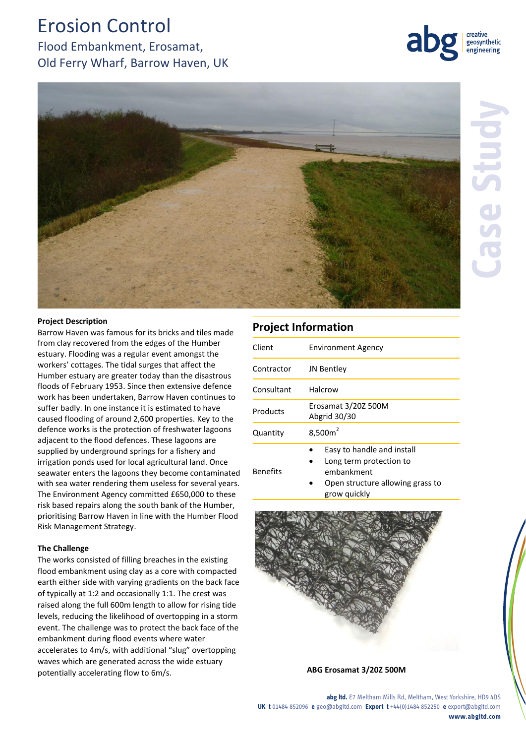# Erosion Control

Flood Embankment, Erosamat, Old Ferry Wharf, Barrow Haven, UK





## **Project Description**

Barrow Haven was famous for its bricks and tiles made from clay recovered from the edges of the Humber estuary. Flooding was a regular event amongst the workers' cottages. The tidal surges that affect the Humber estuary are greater today than the disastrous floods of February 1953. Since then extensive defence work has been undertaken, Barrow Haven continues to suffer badly. In one instance it is estimated to have caused flooding of around 2,600 properties. Key to the defence works is the protection of freshwater lagoons adjacent to the flood defences. These lagoons are supplied by underground springs for a fishery and irrigation ponds used for local agricultural land. Once seawater enters the lagoons they become contaminated with sea water rendering them useless for several years. The Environment Agency committed £650,000 to these risk based repairs along the south bank of the Humber, prioritising Barrow Haven in line with the Humber Flood Risk Management Strategy.

#### **The Challenge**

The works consisted of filling breaches in the existing flood embankment using clay as a core with compacted earth either side with varying gradients on the back face of typically at 1:2 and occasionally 1:1. The crest was raised along the full 600m length to allow for rising tide levels, reducing the likelihood of overtopping in a storm event. The challenge was to protect the back face of the embankment during flood events where water accelerates to 4m/s, with additional "slug" overtopping waves which are generated across the wide estuary potentially accelerating flow to 6m/s. **ABG Erosamat 3/20Z 500M**

## **Project Information**

| Client          | <b>Environment Agency</b>                                                                                               |
|-----------------|-------------------------------------------------------------------------------------------------------------------------|
| Contractor      | JN Bentley                                                                                                              |
| Consultant      | Halcrow                                                                                                                 |
| Products        | Erosamat 3/20Z 500M<br>Abgrid 30/30                                                                                     |
| Quantity        | $8,500m^2$                                                                                                              |
| <b>Benefits</b> | Easy to handle and install<br>Long term protection to<br>embankment<br>Open structure allowing grass to<br>grow quickly |



**abg ltd.** E7 Meltham Mills Rd, Meltham, West Yorkshire, HD9 4DS **UK t** 01484 852096 **e** geo@abgltd.com **Export t** +44(0)1484 852250 **e** export@abgltd.com **www.abgltd.com**